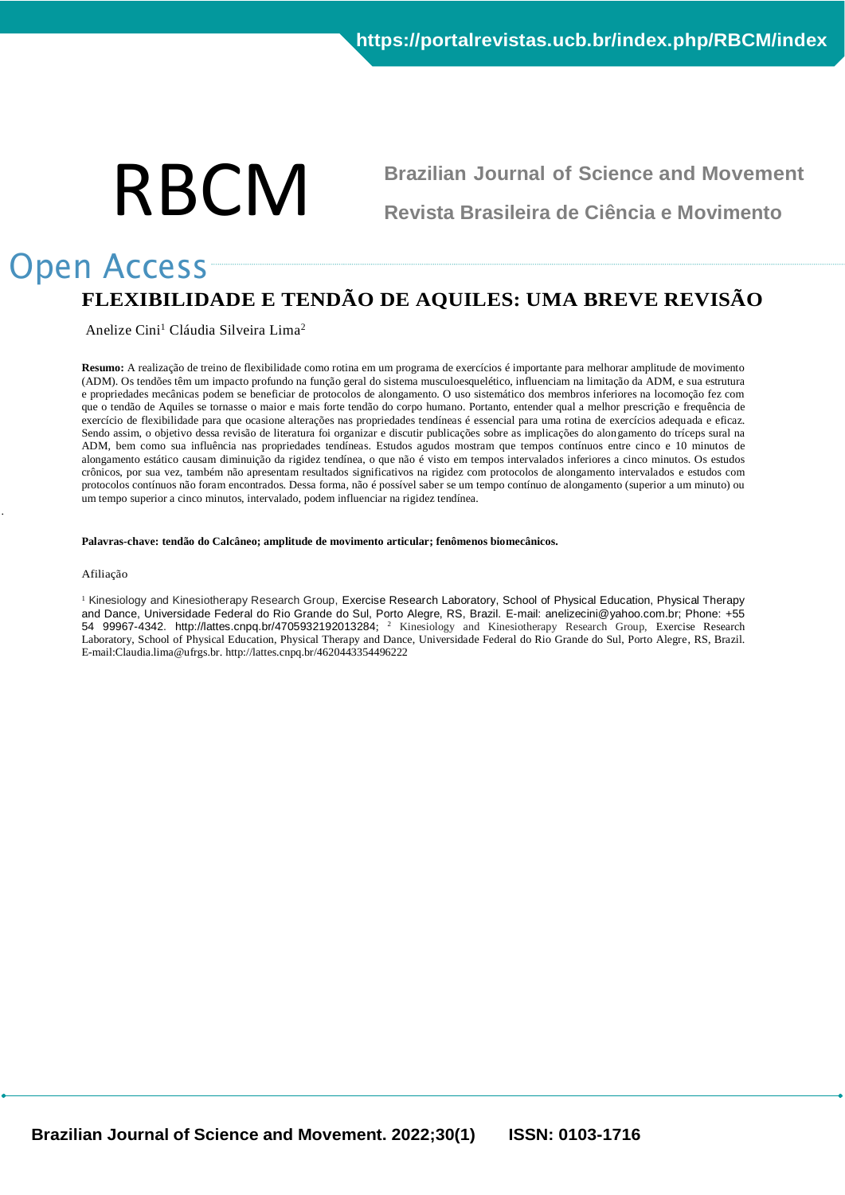# RBCM

**Brazilian Journal of Science and Movement Revista Brasileira de Ciência e Movimento**

# Open Access **FLEXIBILIDADE E TENDÃO DE AQUILES: UMA BREVE REVISÃO**

Anelize Cini<sup>1</sup> Cláudia Silveira Lima<sup>2</sup>

**Resumo:** A realização de treino de flexibilidade como rotina em um programa de exercícios é importante para melhorar amplitude de movimento (ADM). Os tendões têm um impacto profundo na função geral do sistema musculoesquelético, influenciam na limitação da ADM, e sua estrutura e propriedades mecânicas podem se beneficiar de protocolos de alongamento. O uso sistemático dos membros inferiores na locomoção fez com que o tendão de Aquiles se tornasse o maior e mais forte tendão do corpo humano. Portanto, entender qual a melhor prescrição e frequência de exercício de flexibilidade para que ocasione alterações nas propriedades tendíneas é essencial para uma rotina de exercícios adequada e eficaz. Sendo assim, o objetivo dessa revisão de literatura foi organizar e discutir publicações sobre as implicações do alongamento do tríceps sural na ADM, bem como sua influência nas propriedades tendíneas. Estudos agudos mostram que tempos contínuos entre cinco e 10 minutos de alongamento estático causam diminuição da rigidez tendínea, o que não é visto em tempos intervalados inferiores a cinco minutos. Os estudos crônicos, por sua vez, também não apresentam resultados significativos na rigidez com protocolos de alongamento intervalados e estudos com protocolos contínuos não foram encontrados. Dessa forma, não é possível saber se um tempo contínuo de alongamento (superior a um minuto) ou um tempo superior a cinco minutos, intervalado, podem influenciar na rigidez tendínea.

#### **Palavras-chave: tendão do Calcâneo; amplitude de movimento articular; fenômenos biomecânicos.**

#### Afiliação

.

<sup>1</sup> Kinesiology and Kinesiotherapy Research Group, Exercise Research Laboratory, School of Physical Education, Physical Therapy and Dance, Universidade Federal do Rio Grande do Sul, Porto Alegre, RS, Brazil. E-mail: anelizecini@yahoo.com.br; Phone: +55 54 99967-4342. http://lattes.cnpq.br/4705932192013284; <sup>2</sup> Kinesiology and Kinesiotherapy Research Group, Exercise Research Laboratory, School of Physical Education, Physical Therapy and Dance, Universidade Federal do Rio Grande do Sul, Porto Alegre, RS, Brazil. E-mail:Claudia.lima@ufrgs.br. http://lattes.cnpq.br/4620443354496222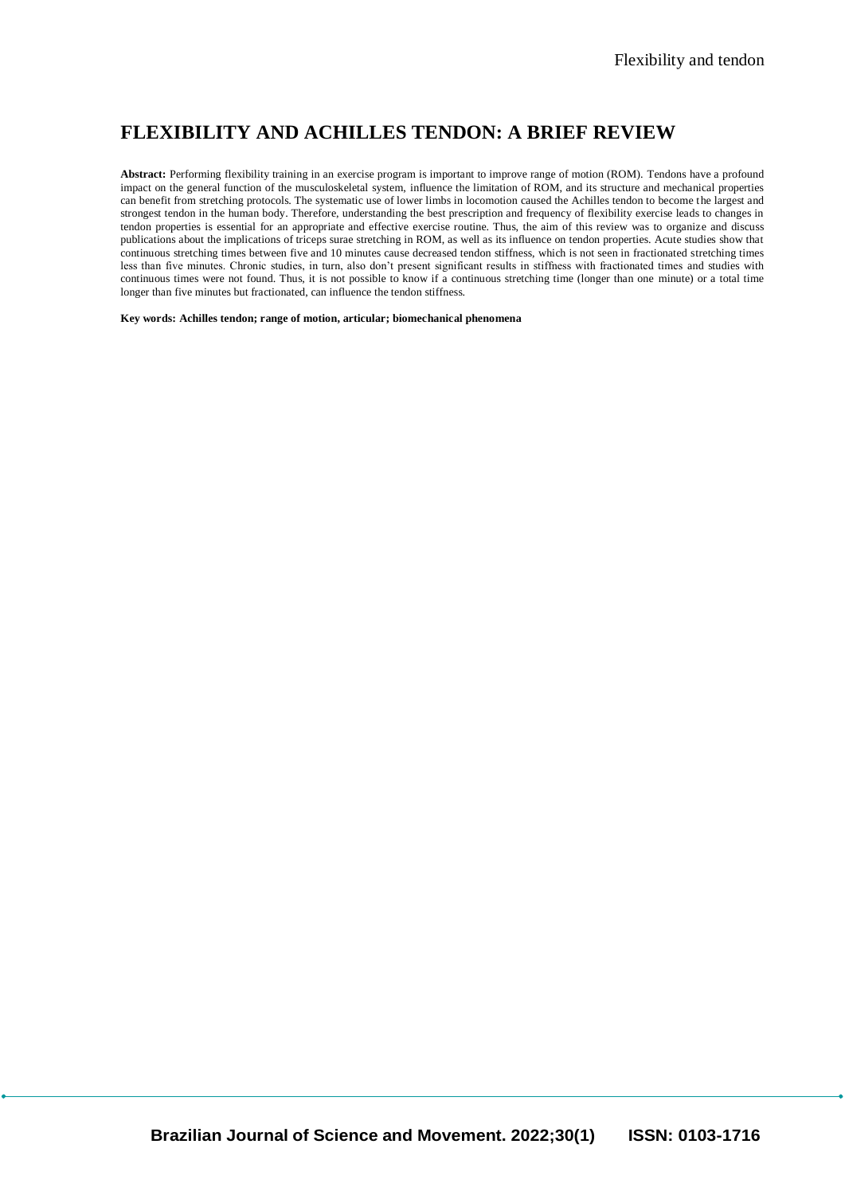# **FLEXIBILITY AND ACHILLES TENDON: A BRIEF REVIEW**

**Abstract:** Performing flexibility training in an exercise program is important to improve range of motion (ROM). Tendons have a profound impact on the general function of the musculoskeletal system, influence the limitation of ROM, and its structure and mechanical properties can benefit from stretching protocols. The systematic use of lower limbs in locomotion caused the Achilles tendon to become the largest and strongest tendon in the human body. Therefore, understanding the best prescription and frequency of flexibility exercise leads to changes in tendon properties is essential for an appropriate and effective exercise routine. Thus, the aim of this review was to organize and discuss publications about the implications of triceps surae stretching in ROM, as well as its influence on tendon properties. Acute studies show that continuous stretching times between five and 10 minutes cause decreased tendon stiffness, which is not seen in fractionated stretching times less than five minutes. Chronic studies, in turn, also don't present significant results in stiffness with fractionated times and studies with continuous times were not found. Thus, it is not possible to know if a continuous stretching time (longer than one minute) or a total time longer than five minutes but fractionated, can influence the tendon stiffness.

**Key words: Achilles tendon; range of motion, articular; biomechanical phenomena**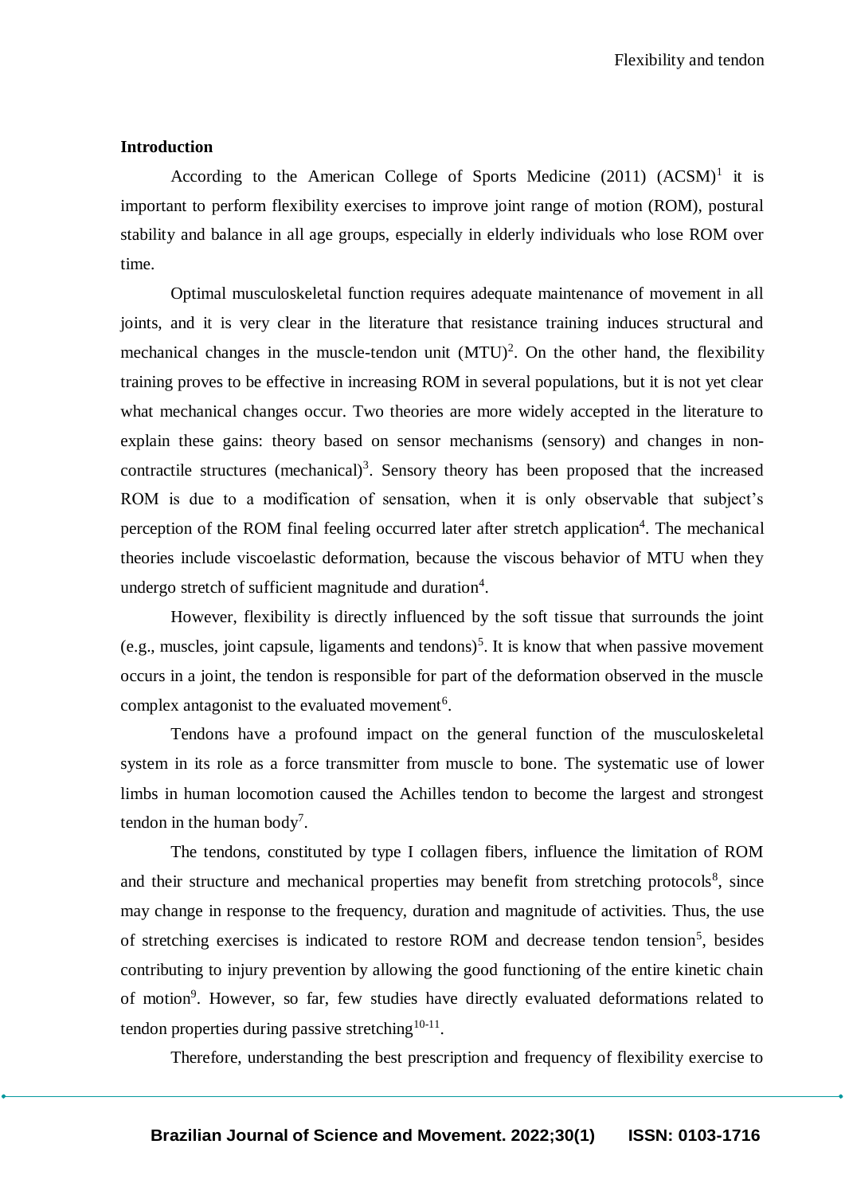Flexibility and tendon

#### **Introduction**

According to the American College of Sports Medicine  $(2011)$   $(ACSM)^1$  it is important to perform flexibility exercises to improve joint range of motion (ROM), postural stability and balance in all age groups, especially in elderly individuals who lose ROM over time.

Optimal musculoskeletal function requires adequate maintenance of movement in all joints, and it is very clear in the literature that resistance training induces structural and mechanical changes in the muscle-tendon unit  $(MTU)^2$ . On the other hand, the flexibility training proves to be effective in increasing ROM in several populations, but it is not yet clear what mechanical changes occur. Two theories are more widely accepted in the literature to explain these gains: theory based on sensor mechanisms (sensory) and changes in noncontractile structures (mechanical)<sup>3</sup>. Sensory theory has been proposed that the increased ROM is due to a modification of sensation, when it is only observable that subject's perception of the ROM final feeling occurred later after stretch application<sup>4</sup>. The mechanical theories include viscoelastic deformation, because the viscous behavior of MTU when they undergo stretch of sufficient magnitude and duration<sup>4</sup>.

However, flexibility is directly influenced by the soft tissue that surrounds the joint (e.g., muscles, joint capsule, ligaments and tendons)<sup>5</sup>. It is know that when passive movement occurs in a joint, the tendon is responsible for part of the deformation observed in the muscle complex antagonist to the evaluated movement<sup>6</sup>.

Tendons have a profound impact on the general function of the musculoskeletal system in its role as a force transmitter from muscle to bone. The systematic use of lower limbs in human locomotion caused the Achilles tendon to become the largest and strongest tendon in the human body<sup>7</sup>.

The tendons, constituted by type I collagen fibers, influence the limitation of ROM and their structure and mechanical properties may benefit from stretching protocols<sup>8</sup>, since may change in response to the frequency, duration and magnitude of activities. Thus, the use of stretching exercises is indicated to restore ROM and decrease tendon tension<sup>5</sup>, besides contributing to injury prevention by allowing the good functioning of the entire kinetic chain of motion<sup>9</sup>. However, so far, few studies have directly evaluated deformations related to tendon properties during passive stretching  $10-11$ .

Therefore, understanding the best prescription and frequency of flexibility exercise to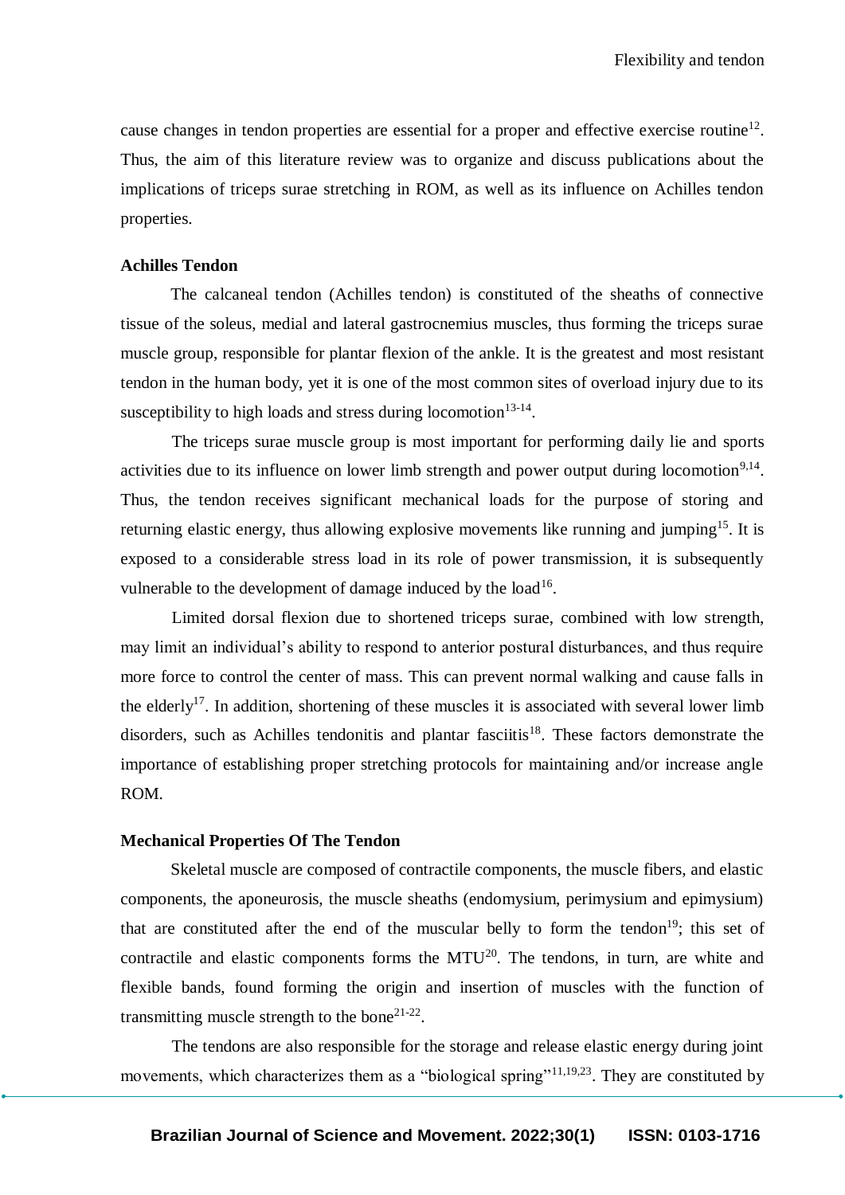cause changes in tendon properties are essential for a proper and effective exercise routine<sup>12</sup>. Thus, the aim of this literature review was to organize and discuss publications about the implications of triceps surae stretching in ROM, as well as its influence on Achilles tendon properties.

#### **Achilles Tendon**

The calcaneal tendon (Achilles tendon) is constituted of the sheaths of connective tissue of the soleus, medial and lateral gastrocnemius muscles, thus forming the triceps surae muscle group, responsible for plantar flexion of the ankle. It is the greatest and most resistant tendon in the human body, yet it is one of the most common sites of overload injury due to its susceptibility to high loads and stress during locomotion $13-14$ .

The triceps surae muscle group is most important for performing daily lie and sports activities due to its influence on lower limb strength and power output during locomotion<sup>9,14</sup>. Thus, the tendon receives significant mechanical loads for the purpose of storing and returning elastic energy, thus allowing explosive movements like running and jumping<sup>15</sup>. It is exposed to a considerable stress load in its role of power transmission, it is subsequently vulnerable to the development of damage induced by the  $load^{16}$ .

Limited dorsal flexion due to shortened triceps surae, combined with low strength, may limit an individual's ability to respond to anterior postural disturbances, and thus require more force to control the center of mass. This can prevent normal walking and cause falls in the elderly<sup>17</sup>. In addition, shortening of these muscles it is associated with several lower limb disorders, such as Achilles tendonitis and plantar fasciitis<sup>18</sup>. These factors demonstrate the importance of establishing proper stretching protocols for maintaining and/or increase angle ROM.

#### **Mechanical Properties Of The Tendon**

Skeletal muscle are composed of contractile components, the muscle fibers, and elastic components, the aponeurosis, the muscle sheaths (endomysium, perimysium and epimysium) that are constituted after the end of the muscular belly to form the tendon<sup>19</sup>; this set of contractile and elastic components forms the  $MTU^{20}$ . The tendons, in turn, are white and flexible bands, found forming the origin and insertion of muscles with the function of transmitting muscle strength to the bone<sup>21-22</sup>.

The tendons are also responsible for the storage and release elastic energy during joint movements, which characterizes them as a "biological spring"<sup>11,19,23</sup>. They are constituted by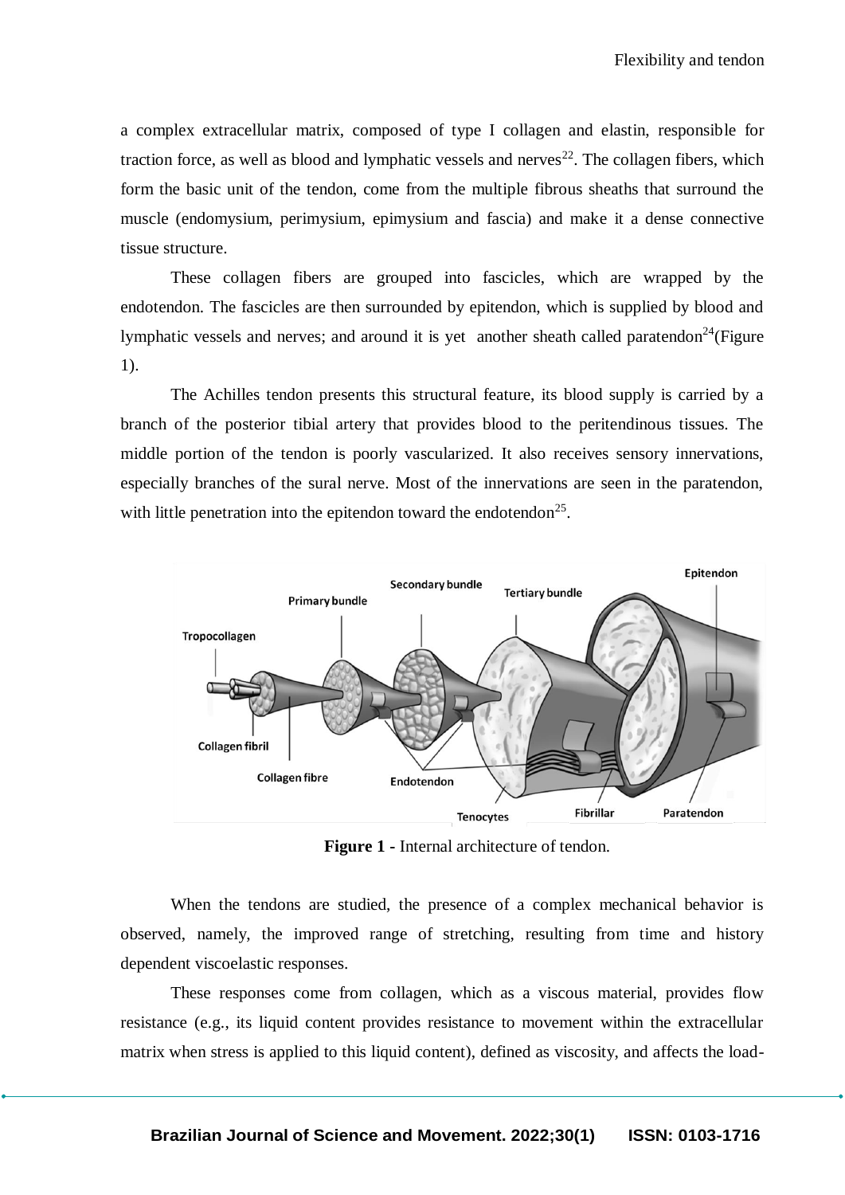a complex extracellular matrix, composed of type I collagen and elastin, responsible for traction force, as well as blood and lymphatic vessels and nerves<sup>22</sup>. The collagen fibers, which form the basic unit of the tendon, come from the multiple fibrous sheaths that surround the muscle (endomysium, perimysium, epimysium and fascia) and make it a dense connective tissue structure.

These collagen fibers are grouped into fascicles, which are wrapped by the endotendon. The fascicles are then surrounded by epitendon, which is supplied by blood and lymphatic vessels and nerves; and around it is yet another sheath called paratendon<sup>24</sup>(Figure 1).

The Achilles tendon presents this structural feature, its blood supply is carried by a branch of the posterior tibial artery that provides blood to the peritendinous tissues. The middle portion of the tendon is poorly vascularized. It also receives sensory innervations, especially branches of the sural nerve. Most of the innervations are seen in the paratendon, with little penetration into the epitendon toward the endotendon<sup>25</sup>.



**Figure 1 -** Internal architecture of tendon.

When the tendons are studied, the presence of a complex mechanical behavior is observed, namely, the improved range of stretching, resulting from time and history dependent viscoelastic responses.

These responses come from collagen, which as a viscous material, provides flow resistance (e.g., its liquid content provides resistance to movement within the extracellular matrix when stress is applied to this liquid content), defined as viscosity, and affects the load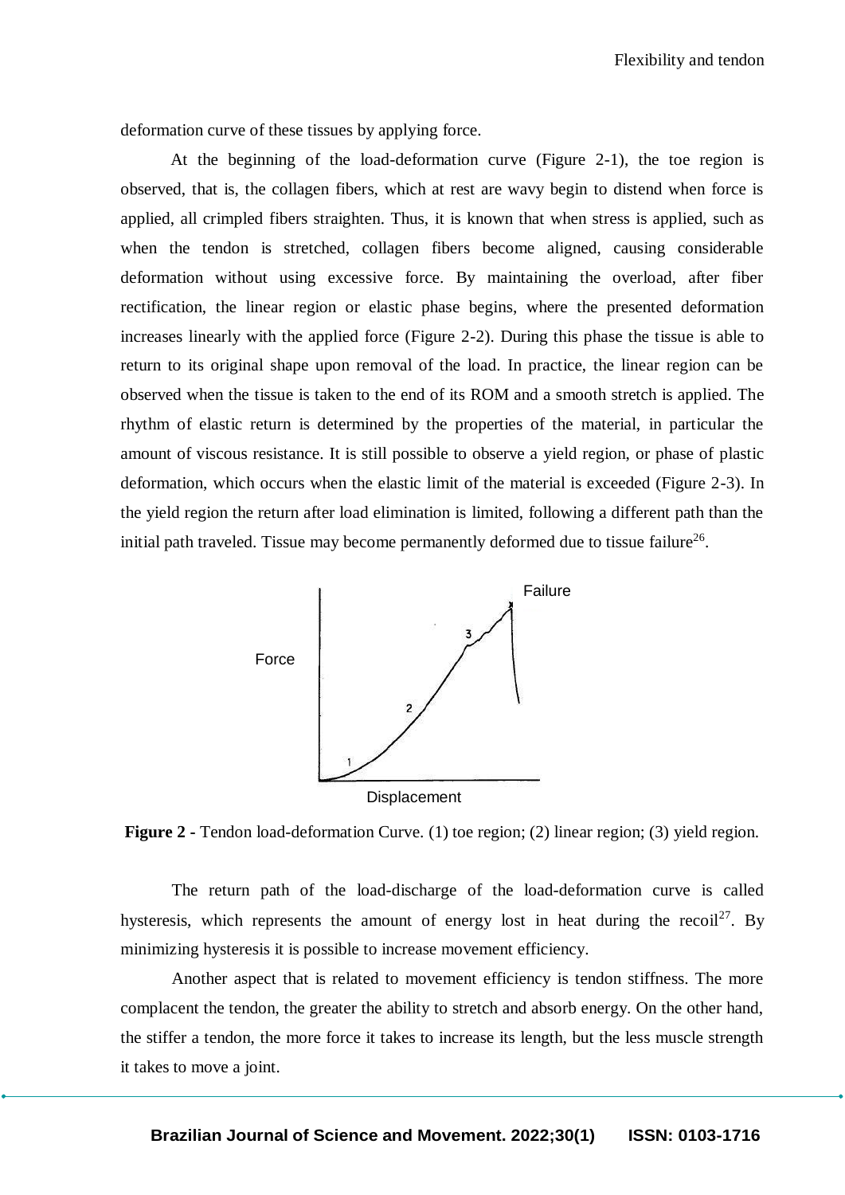deformation curve of these tissues by applying force.

At the beginning of the load-deformation curve (Figure 2-1), the toe region is observed, that is, the collagen fibers, which at rest are wavy begin to distend when force is applied, all crimpled fibers straighten. Thus, it is known that when stress is applied, such as when the tendon is stretched, collagen fibers become aligned, causing considerable deformation without using excessive force. By maintaining the overload, after fiber rectification, the linear region or elastic phase begins, where the presented deformation increases linearly with the applied force (Figure 2-2). During this phase the tissue is able to return to its original shape upon removal of the load. In practice, the linear region can be observed when the tissue is taken to the end of its ROM and a smooth stretch is applied. The rhythm of elastic return is determined by the properties of the material, in particular the amount of viscous resistance. It is still possible to observe a yield region, or phase of plastic deformation, which occurs when the elastic limit of the material is exceeded (Figure 2-3). In the yield region the return after load elimination is limited, following a different path than the initial path traveled. Tissue may become permanently deformed due to tissue failure<sup>26</sup>.



**Figure 2 -** Tendon load-deformation Curve. (1) toe region; (2) linear region; (3) yield region.

The return path of the load-discharge of the load-deformation curve is called hysteresis, which represents the amount of energy lost in heat during the recoil<sup>27</sup>. By minimizing hysteresis it is possible to increase movement efficiency.

Another aspect that is related to movement efficiency is tendon stiffness. The more complacent the tendon, the greater the ability to stretch and absorb energy. On the other hand, the stiffer a tendon, the more force it takes to increase its length, but the less muscle strength it takes to move a joint.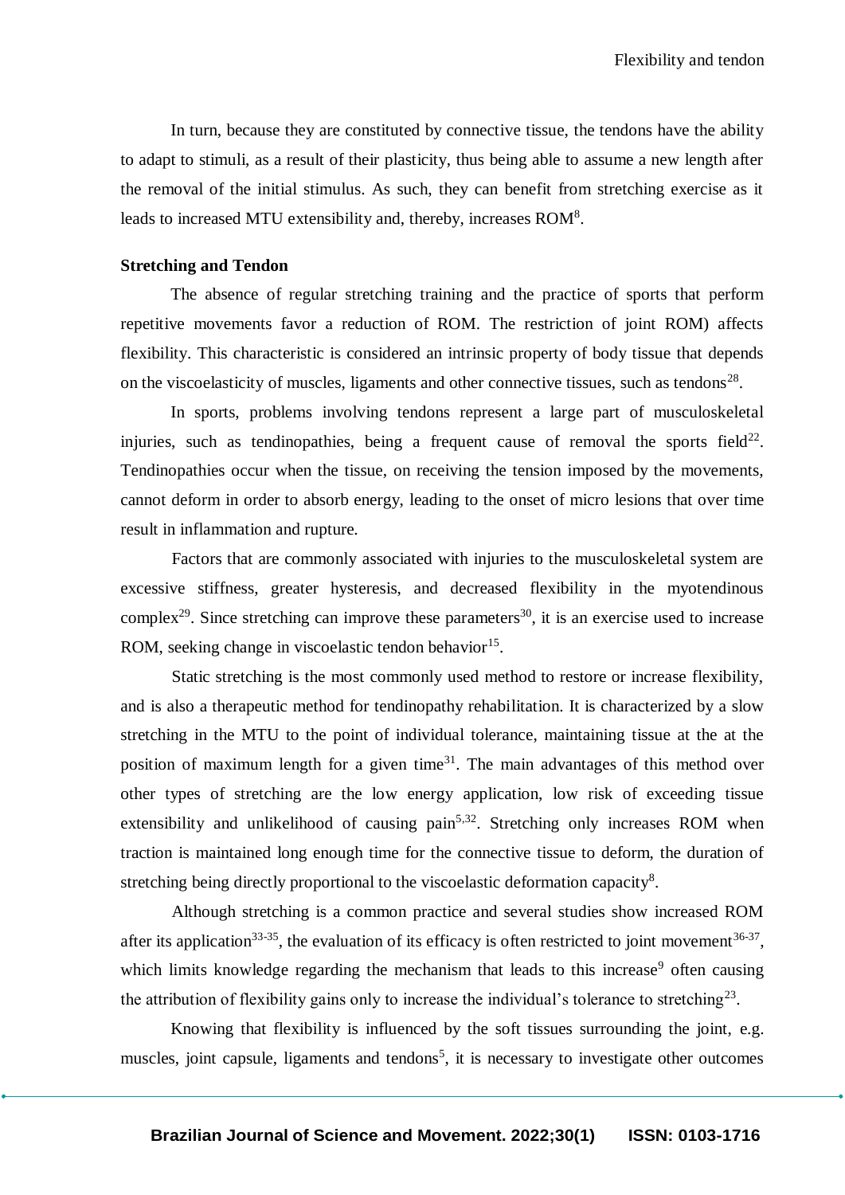In turn, because they are constituted by connective tissue, the tendons have the ability to adapt to stimuli, as a result of their plasticity, thus being able to assume a new length after the removal of the initial stimulus. As such, they can benefit from stretching exercise as it leads to increased MTU extensibility and, thereby, increases ROM<sup>8</sup>.

#### **Stretching and Tendon**

The absence of regular stretching training and the practice of sports that perform repetitive movements favor a reduction of ROM. The restriction of joint ROM) affects flexibility. This characteristic is considered an intrinsic property of body tissue that depends on the viscoelasticity of muscles, ligaments and other connective tissues, such as tendons<sup>28</sup>.

In sports, problems involving tendons represent a large part of musculoskeletal injuries, such as tendinopathies, being a frequent cause of removal the sports field $^{22}$ . Tendinopathies occur when the tissue, on receiving the tension imposed by the movements, cannot deform in order to absorb energy, leading to the onset of micro lesions that over time result in inflammation and rupture.

Factors that are commonly associated with injuries to the musculoskeletal system are excessive stiffness, greater hysteresis, and decreased flexibility in the myotendinous complex<sup>29</sup>. Since stretching can improve these parameters<sup>30</sup>, it is an exercise used to increase ROM, seeking change in viscoelastic tendon behavior $15$ .

Static stretching is the most commonly used method to restore or increase flexibility, and is also a therapeutic method for tendinopathy rehabilitation. It is characterized by a slow stretching in the MTU to the point of individual tolerance, maintaining tissue at the at the position of maximum length for a given time $3<sup>1</sup>$ . The main advantages of this method over other types of stretching are the low energy application, low risk of exceeding tissue extensibility and unlikelihood of causing  $\text{pain}^{5,32}$ . Stretching only increases ROM when traction is maintained long enough time for the connective tissue to deform, the duration of stretching being directly proportional to the viscoelastic deformation capacity<sup>8</sup>.

Although stretching is a common practice and several studies show increased ROM after its application<sup>33-35</sup>, the evaluation of its efficacy is often restricted to joint movement<sup>36-37</sup>, which limits knowledge regarding the mechanism that leads to this increase<sup>9</sup> often causing the attribution of flexibility gains only to increase the individual's tolerance to stretching<sup>23</sup>.

Knowing that flexibility is influenced by the soft tissues surrounding the joint, e.g. muscles, joint capsule, ligaments and tendons<sup>5</sup>, it is necessary to investigate other outcomes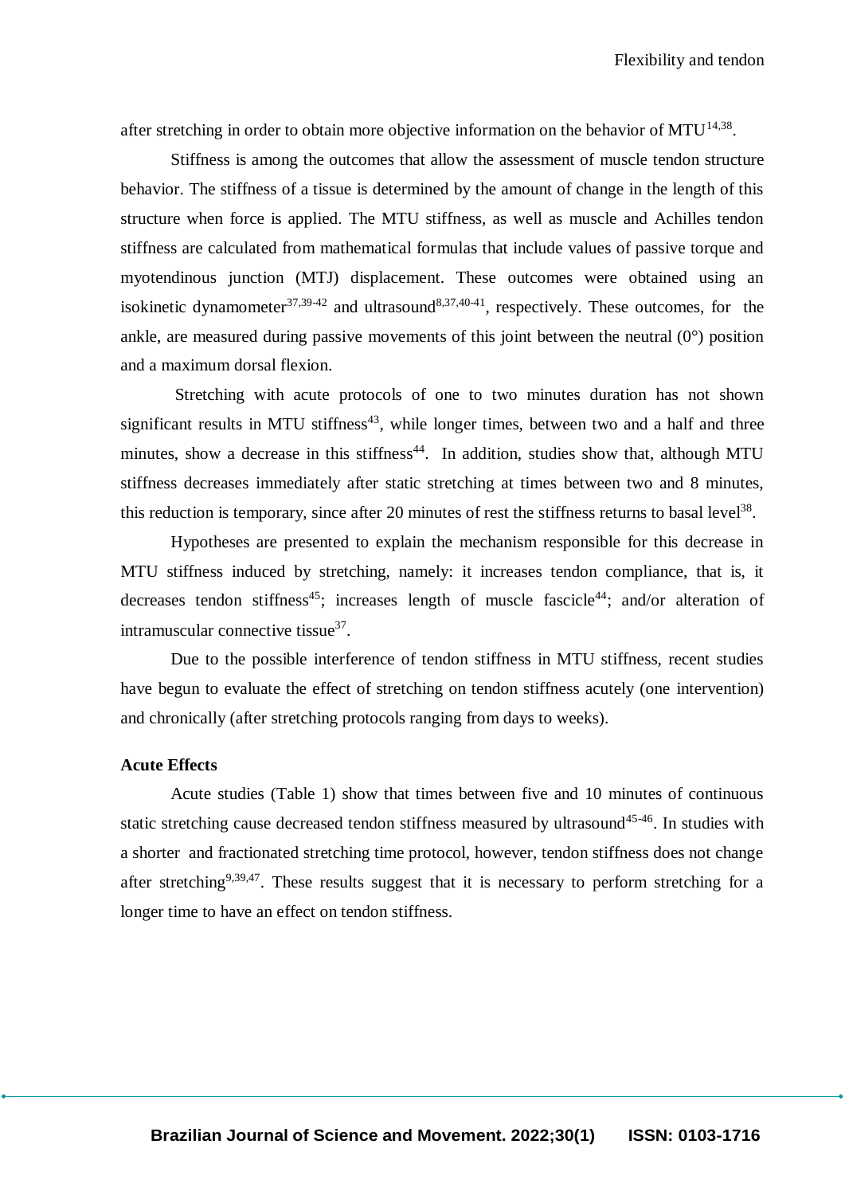after stretching in order to obtain more objective information on the behavior of MTU<sup>14,38</sup>.

Stiffness is among the outcomes that allow the assessment of muscle tendon structure behavior. The stiffness of a tissue is determined by the amount of change in the length of this structure when force is applied. The MTU stiffness, as well as muscle and Achilles tendon stiffness are calculated from mathematical formulas that include values of passive torque and myotendinous junction (MTJ) displacement. These outcomes were obtained using an isokinetic dynamometer<sup>37,39-42</sup> and ultrasound<sup>8,37,40-41</sup>, respectively. These outcomes, for the ankle, are measured during passive movements of this joint between the neutral  $(0^{\circ})$  position and a maximum dorsal flexion.

Stretching with acute protocols of one to two minutes duration has not shown significant results in MTU stiffness<sup>43</sup>, while longer times, between two and a half and three minutes, show a decrease in this stiffness<sup>44</sup>. In addition, studies show that, although MTU stiffness decreases immediately after static stretching at times between two and 8 minutes, this reduction is temporary, since after 20 minutes of rest the stiffness returns to basal level<sup>38</sup>.

Hypotheses are presented to explain the mechanism responsible for this decrease in MTU stiffness induced by stretching, namely: it increases tendon compliance, that is, it decreases tendon stiffness<sup>45</sup>; increases length of muscle fascicle<sup>44</sup>; and/or alteration of intramuscular connective tissue<sup>37</sup>.

Due to the possible interference of tendon stiffness in MTU stiffness, recent studies have begun to evaluate the effect of stretching on tendon stiffness acutely (one intervention) and chronically (after stretching protocols ranging from days to weeks).

#### **Acute Effects**

Acute studies (Table 1) show that times between five and 10 minutes of continuous static stretching cause decreased tendon stiffness measured by ultrasound<sup>45-46</sup>. In studies with a shorter and fractionated stretching time protocol, however, tendon stiffness does not change after stretching<sup>9,39,47</sup>. These results suggest that it is necessary to perform stretching for a longer time to have an effect on tendon stiffness.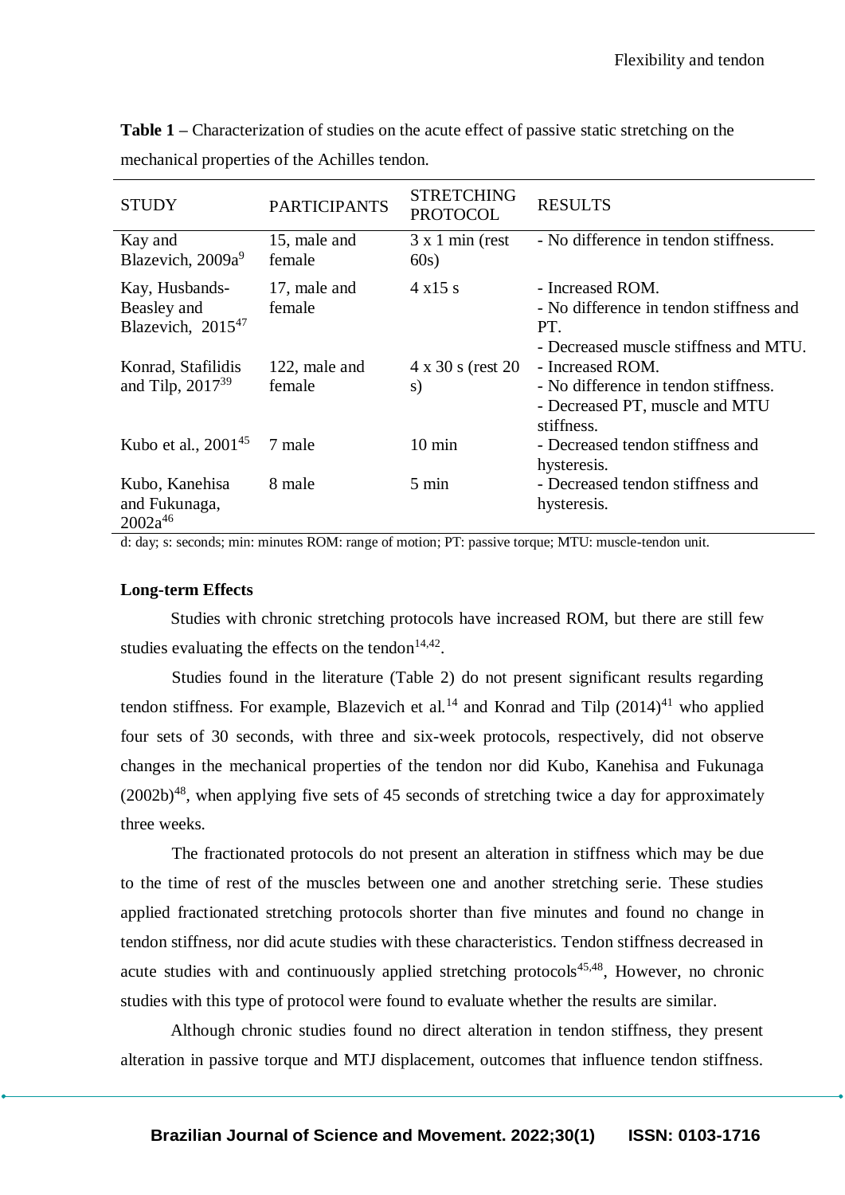| <b>STUDY</b>                                                   | <b>PARTICIPANTS</b>     | <b>STRETCHING</b><br><b>PROTOCOL</b> | <b>RESULTS</b>                                                                                              |
|----------------------------------------------------------------|-------------------------|--------------------------------------|-------------------------------------------------------------------------------------------------------------|
| Kay and<br>Blazevich, 2009a <sup>9</sup>                       | 15, male and<br>female  | $3 \times 1$ min (rest<br>60s)       | - No difference in tendon stiffness.                                                                        |
| Kay, Husbands-<br>Beasley and<br>Blazevich, 2015 <sup>47</sup> | 17, male and<br>female  | $4 \times 15 s$                      | - Increased ROM.<br>- No difference in tendon stiffness and<br>PT.<br>- Decreased muscle stiffness and MTU. |
| Konrad, Stafilidis<br>and Tilp, $2017^{39}$                    | 122, male and<br>female | $4 \times 30$ s (rest 20<br>S)       | - Increased ROM.<br>- No difference in tendon stiffness.<br>- Decreased PT, muscle and MTU<br>stiffness.    |
| Kubo et al., $2001^{45}$                                       | 7 male                  | $10 \text{ min}$                     | - Decreased tendon stiffness and<br>hysteresis.                                                             |
| Kubo, Kanehisa<br>and Fukunaga,<br>$2002a^{46}$                | 8 male                  | $5 \text{ min}$                      | - Decreased tendon stiffness and<br>hysteresis.                                                             |

**Table 1 –** Characterization of studies on the acute effect of passive static stretching on the mechanical properties of the Achilles tendon.

d: day; s: seconds; min: minutes ROM: range of motion; PT: passive torque; MTU: muscle-tendon unit.

#### **Long-term Effects**

Studies with chronic stretching protocols have increased ROM, but there are still few studies evaluating the effects on the tendon $14,42$ .

Studies found in the literature (Table 2) do not present significant results regarding tendon stiffness. For example, Blazevich et al.<sup>14</sup> and Konrad and Tilp  $(2014)^{41}$  who applied four sets of 30 seconds, with three and six-week protocols, respectively, did not observe changes in the mechanical properties of the tendon nor did Kubo, Kanehisa and Fukunaga  $(2002b)^{48}$ , when applying five sets of 45 seconds of stretching twice a day for approximately three weeks.

The fractionated protocols do not present an alteration in stiffness which may be due to the time of rest of the muscles between one and another stretching serie. These studies applied fractionated stretching protocols shorter than five minutes and found no change in tendon stiffness, nor did acute studies with these characteristics. Tendon stiffness decreased in acute studies with and continuously applied stretching protocols<sup>45,48</sup>, However, no chronic studies with this type of protocol were found to evaluate whether the results are similar.

Although chronic studies found no direct alteration in tendon stiffness, they present alteration in passive torque and MTJ displacement, outcomes that influence tendon stiffness.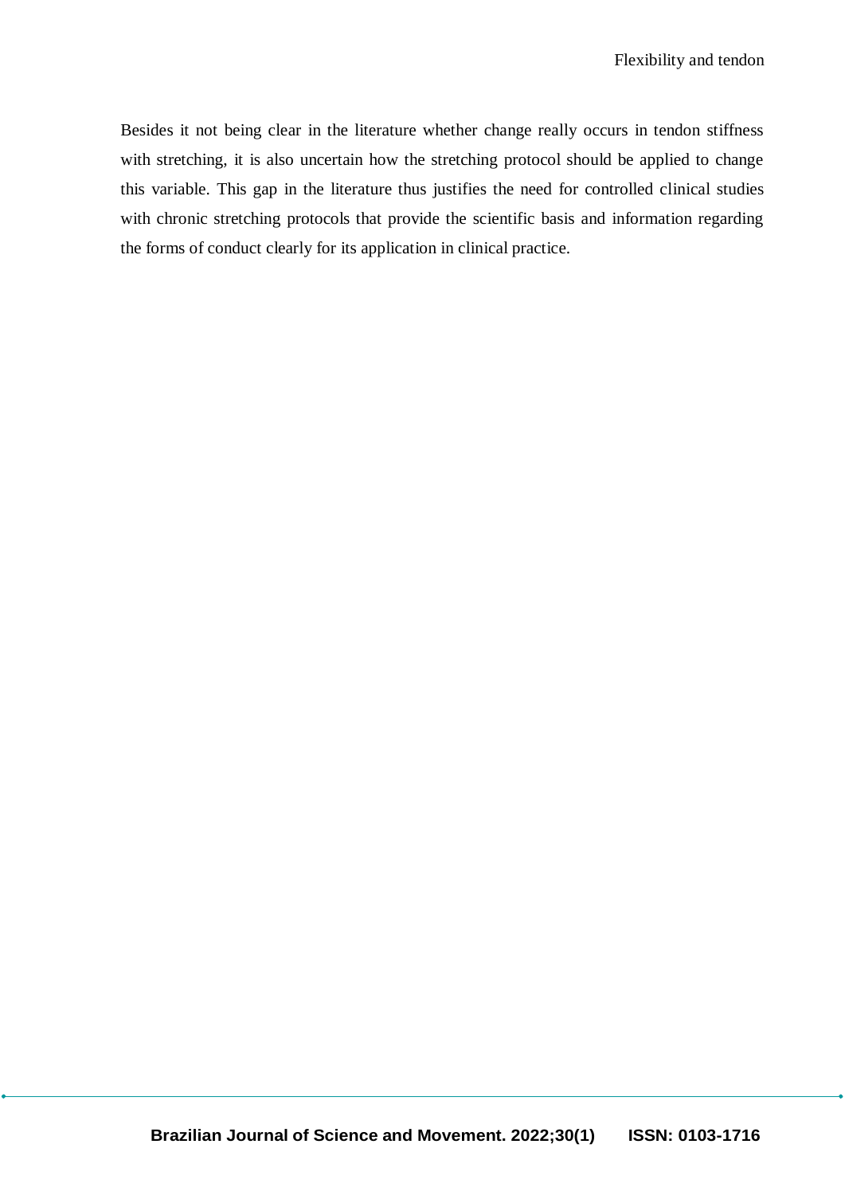Besides it not being clear in the literature whether change really occurs in tendon stiffness with stretching, it is also uncertain how the stretching protocol should be applied to change this variable. This gap in the literature thus justifies the need for controlled clinical studies with chronic stretching protocols that provide the scientific basis and information regarding the forms of conduct clearly for its application in clinical practice.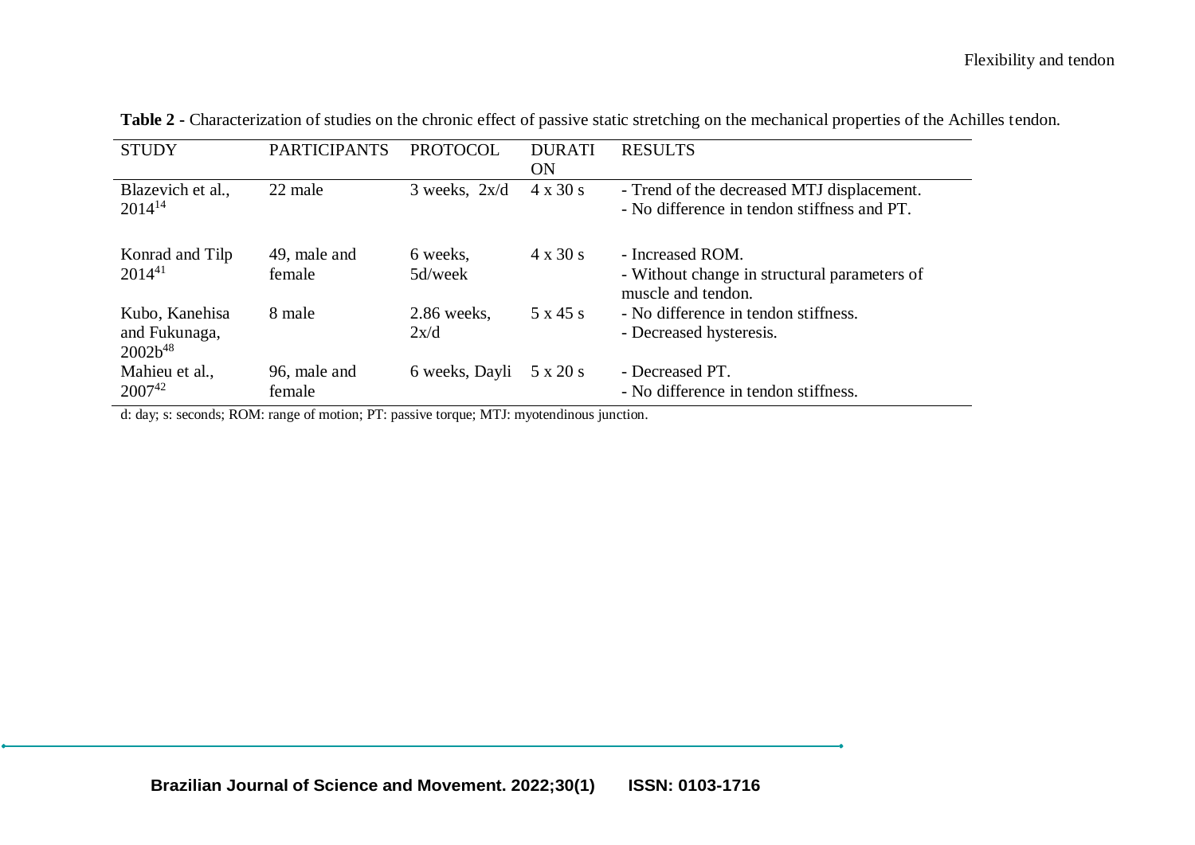| <b>STUDY</b>                                    | <b>PARTICIPANTS</b>    | <b>PROTOCOL</b>     | <b>DURATI</b><br><b>ON</b> | <b>RESULTS</b>                                                                            |
|-------------------------------------------------|------------------------|---------------------|----------------------------|-------------------------------------------------------------------------------------------|
| Blazevich et al.,<br>$2014^{14}$                | 22 male                | $3$ weeks, $2x/d$   | $4 \times 30 \text{ s}$    | - Trend of the decreased MTJ displacement.<br>- No difference in tendon stiffness and PT. |
| Konrad and Tilp<br>$2014^{41}$                  | 49, male and<br>female | 6 weeks,<br>5d/week | $4 \times 30 \text{ s}$    | - Increased ROM.<br>- Without change in structural parameters of<br>muscle and tendon.    |
| Kubo, Kanehisa<br>and Fukunaga,<br>$2002b^{48}$ | 8 male                 | 2.86 weeks,<br>2x/d | 5 x 45 s                   | - No difference in tendon stiffness.<br>- Decreased hysteresis.                           |
| Mahieu et al.,<br>$2007^{42}$                   | 96, male and<br>female | 6 weeks, Dayli      | 5 x 20 s                   | - Decreased PT.<br>- No difference in tendon stiffness.                                   |

**Table 2 -** Characterization of studies on the chronic effect of passive static stretching on the mechanical properties of the Achilles tendon.

d: day; s: seconds; ROM: range of motion; PT: passive torque; MTJ: myotendinous junction.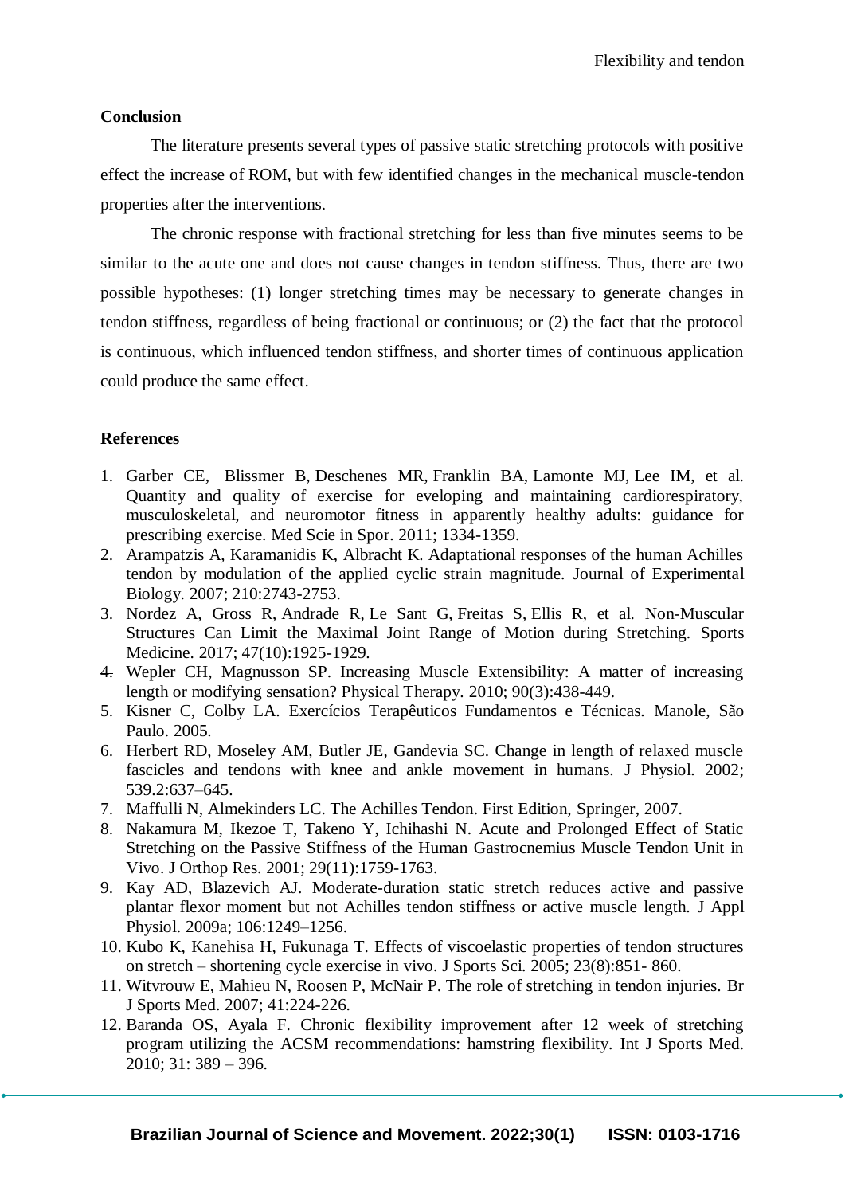### **Conclusion**

The literature presents several types of passive static stretching protocols with positive effect the increase of ROM, but with few identified changes in the mechanical muscle-tendon properties after the interventions.

The chronic response with fractional stretching for less than five minutes seems to be similar to the acute one and does not cause changes in tendon stiffness. Thus, there are two possible hypotheses: (1) longer stretching times may be necessary to generate changes in tendon stiffness, regardless of being fractional or continuous; or (2) the fact that the protocol is continuous, which influenced tendon stiffness, and shorter times of continuous application could produce the same effect.

## **References**

- 1. Garber CE, Blissmer B, Deschenes MR, Franklin BA, Lamonte MJ, Lee IM, et al. Quantity and quality of exercise for eveloping and maintaining cardiorespiratory, musculoskeletal, and neuromotor fitness in apparently healthy adults: guidance for prescribing exercise. Med Scie in Spor. 2011; 1334-1359.
- 2. Arampatzis A, Karamanidis K, Albracht K. Adaptational responses of the human Achilles tendon by modulation of the applied cyclic strain magnitude. Journal of Experimental Biology. 2007; 210:2743-2753.
- 3. Nordez A, Gross R, Andrade R, Le Sant G, Freitas S, Ellis R, et al. Non-Muscular Structures Can Limit the Maximal Joint Range of Motion during Stretching. Sports Medicine. 2017; 47(10):1925-1929.
- 4. Wepler CH, Magnusson SP. Increasing Muscle Extensibility: A matter of increasing length or modifying sensation? Physical Therapy. 2010; 90(3):438-449.
- 5. Kisner C, Colby LA. Exercícios Terapêuticos Fundamentos e Técnicas. Manole, São Paulo. 2005.
- 6. Herbert RD, Moseley AM, Butler JE, Gandevia SC. Change in length of relaxed muscle fascicles and tendons with knee and ankle movement in humans. J Physiol. 2002; 539.2:637–645.
- 7. Maffulli N, Almekinders LC. The Achilles Tendon. First Edition, Springer, 2007.
- 8. Nakamura M, Ikezoe T, Takeno Y, Ichihashi N. Acute and Prolonged Effect of Static Stretching on the Passive Stiffness of the Human Gastrocnemius Muscle Tendon Unit in Vivo. J Orthop Res. 2001; 29(11):1759-1763.
- 9. Kay AD, Blazevich AJ. Moderate-duration static stretch reduces active and passive plantar flexor moment but not Achilles tendon stiffness or active muscle length. J Appl Physiol. 2009a; 106:1249–1256.
- 10. Kubo K, Kanehisa H, Fukunaga T. Effects of viscoelastic properties of tendon structures on stretch – shortening cycle exercise in vivo. J Sports Sci. 2005; 23(8):851- 860.
- 11. Witvrouw E, Mahieu N, Roosen P, McNair P. The role of stretching in tendon injuries. Br J Sports Med. 2007; 41:224-226.
- 12. Baranda OS, Ayala F. Chronic flexibility improvement after 12 week of stretching program utilizing the ACSM recommendations: hamstring flexibility. Int J Sports Med. 2010; 31: 389 – 396.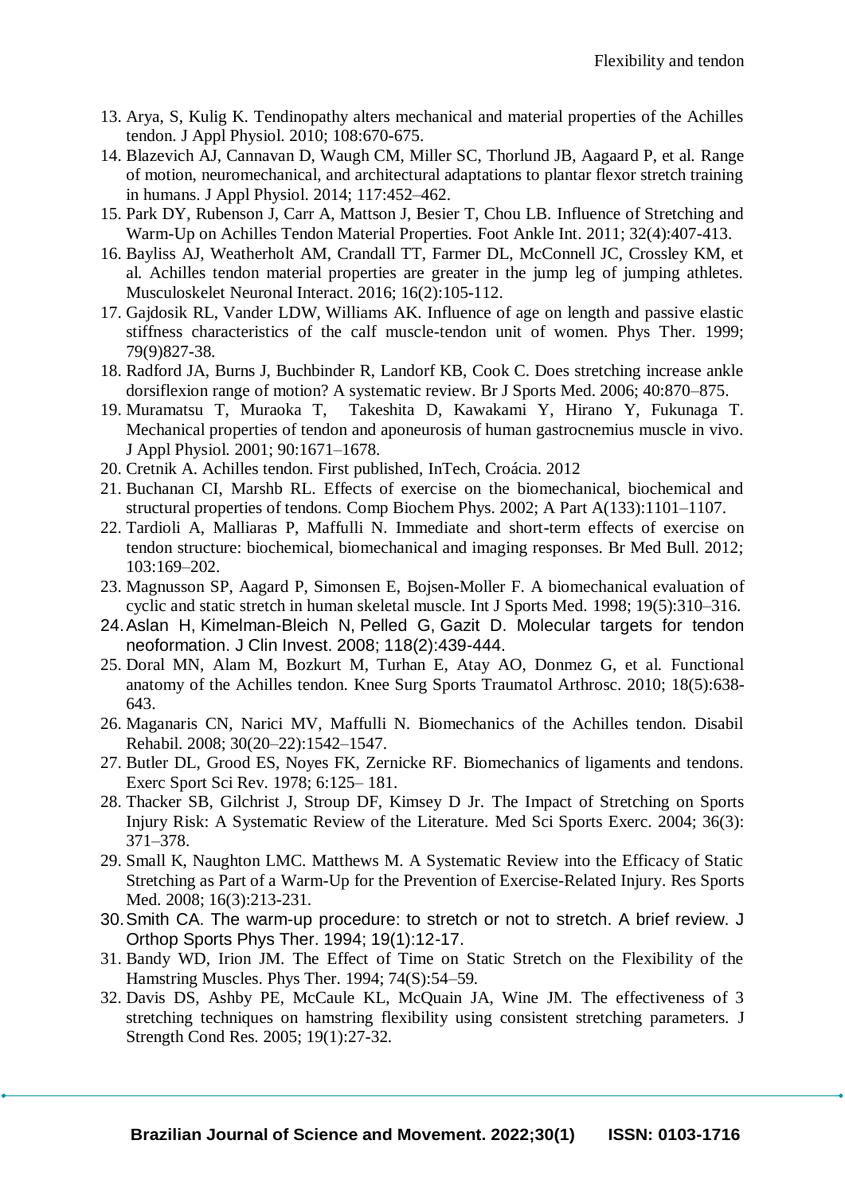- 13. Arya, S, Kulig K. Tendinopathy alters mechanical and material properties of the Achilles tendon. J Appl Physiol. 2010; 108:670-675.
- 14. Blazevich AJ, Cannavan D, Waugh CM, Miller SC, Thorlund JB, Aagaard P, et al. Range of motion, neuromechanical, and architectural adaptations to plantar flexor stretch training in humans. J Appl Physiol. 2014; 117:452–462.
- 15. Park DY, Rubenson J, Carr A, Mattson J, Besier T, Chou LB. Influence of Stretching and Warm-Up on Achilles Tendon Material Properties. Foot Ankle Int. 2011; 32(4):407-413.
- 16. Bayliss AJ, Weatherholt AM, Crandall TT, Farmer DL, McConnell JC, Crossley KM, et al. Achilles tendon material properties are greater in the jump leg of jumping athletes. Musculoskelet Neuronal Interact. 2016; 16(2):105-112.
- 17. Gajdosik RL, Vander LDW, Williams AK. Influence of age on length and passive elastic stiffness characteristics of the calf muscle-tendon unit of women. Phys Ther. 1999; 79(9)827-38.
- 18. Radford JA, Burns J, Buchbinder R, Landorf KB, Cook C. Does stretching increase ankle dorsiflexion range of motion? A systematic review. Br J Sports Med. 2006; 40:870–875.
- 19. Muramatsu T, Muraoka T, Takeshita D, Kawakami Y, Hirano Y, Fukunaga T. Mechanical properties of tendon and aponeurosis of human gastrocnemius muscle in vivo. J Appl Physiol. 2001; 90:1671–1678.
- 20. Cretnik A. Achilles tendon. First published, InTech, Croácia. 2012
- 21. Buchanan CI, Marshb RL. Effects of exercise on the biomechanical, biochemical and structural properties of tendons. Comp Biochem Phys. 2002; A Part A(133):1101–1107.
- 22. Tardioli A, Malliaras P, Maffulli N. Immediate and short-term effects of exercise on tendon structure: biochemical, biomechanical and imaging responses. Br Med Bull. 2012; 103:169–202.
- 23. Magnusson SP, Aagard P, Simonsen E, Bojsen-Moller F. A biomechanical evaluation of cyclic and static stretch in human skeletal muscle. Int J Sports Med. 1998; 19(5):310–316.
- 24[.Aslan H,](https://www.ncbi.nlm.nih.gov/pubmed/?term=Aslan%20H%5BAuthor%5D&cauthor=true&cauthor_uid=18246194) [Kimelman-Bleich N](https://www.ncbi.nlm.nih.gov/pubmed/?term=Kimelman-Bleich%20N%5BAuthor%5D&cauthor=true&cauthor_uid=18246194), [Pelled G](https://www.ncbi.nlm.nih.gov/pubmed/?term=Pelled%20G%5BAuthor%5D&cauthor=true&cauthor_uid=18246194), [Gazit D.](https://www.ncbi.nlm.nih.gov/pubmed/?term=Gazit%20D%5BAuthor%5D&cauthor=true&cauthor_uid=18246194) Molecular targets for tendon neoformation. J Clin Invest. 2008; 118(2):439-444.
- 25. Doral MN, Alam M, Bozkurt M, Turhan E, Atay AO, Donmez G, et al. Functional anatomy of the Achilles tendon. [Knee Surg Sports Traumatol Arthrosc. 2010; 1](https://www.ncbi.nlm.nih.gov/pubmed/20182867)8(5):638- 643.
- 26. Maganaris CN, Narici MV, Maffulli N. Biomechanics of the Achilles tendon. Disabil Rehabil. 2008; 30(20–22):1542–1547.
- 27. Butler DL, Grood ES, Noyes FK, Zernicke RF. Biomechanics of ligaments and tendons. Exerc Sport Sci Rev. 1978; 6:125– 181.
- 28. Thacker SB, Gilchrist J, Stroup DF, Kimsey D Jr. The Impact of Stretching on Sports Injury Risk: A Systematic Review of the Literature. Med Sci Sports Exerc. 2004; 36(3): 371–378.
- 29. Small K, Naughton LMC. Matthews M. A Systematic Review into the Efficacy of Static Stretching as Part of a Warm-Up for the Prevention of Exercise-Related Injury. Res Sports Med. 2008; 16(3):213-231.
- 30.Smith CA. The warm-up procedure: to stretch or not to stretch. A brief review. J Orthop Sports Phys Ther. 1994; 19(1):12-17.
- 31. Bandy WD, Irion JM. The Effect of Time on Static Stretch on the Flexibility of the Hamstring Muscles. Phys Ther. 1994; 74(S):54–59.
- 32. Davis DS, Ashby PE, McCaule KL, McQuain JA, Wine JM. The effectiveness of 3 stretching techniques on hamstring flexibility using consistent stretching parameters. J Strength Cond Res. 2005; 19(1):27-32.